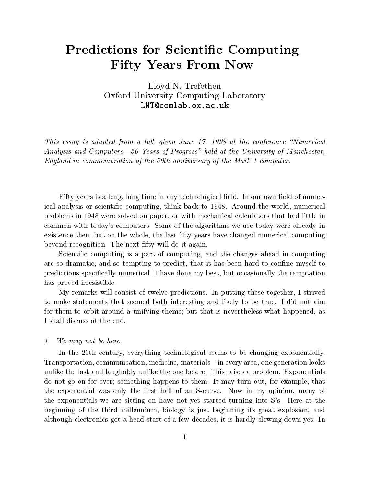# Predictions for Scientic Computing Fifty Years From Now

Lloyd N. Trefethen Oxford University Computing Laboratory LNT@comlab.ox.ac.uk

This essay is adapted from a talk given June  $17$ ,  $1998$  at the conference "Numerical Analysis and Computers $-50$  Years of Progress" held at the University of Manchester, England in commemoration of the 50th anniversary of the Mark 1 computer.

Fifty years is a long, long time in any technological field. In our own field of numerical analysis or scientic computing, think back to 1948. Around the world, numerical problems in 1948 were solved on paper, or with mechanical calculators that had little in common with today's computers. Some of the algorithms we use today were already in existence then, but on the whole, the last fifty years have changed numerical computing beyond recognition. The next fty will do it again.

Scientic computing is a part of computing, and the changes ahead in computing are so dramatic, and so tempting to predict, that it has been hard to confine myself to predictions specically numerical. I have done my best, but occasionally the temptation has proved irresistible.

My remarks will consist of twelve predictions. In putting these together, I strived to make statements that seemed both interesting and likely to be true. I did not aim for them to orbit around a unifying theme; but that is nevertheless what happened, as I shall discuss at the end.

#### 1. We may not be here.

In the 20th century, everything technological seems to be changing exponentially. Transportation, communication, medicine, materials—in every area, one generation looks unlike the last and laughably unlike the one before. This raises a problem. Exponentials do not go on for ever; something happens to them. It may turn out, for example, that the exponential was only the first half of an S-curve. Now in my opinion, many of the exponentials we are sitting on have not yet started turning into S's. Here at the beginning of the third millennium, biology is just beginning its great explosion, and although electronics got a head start of a few decades, it is hardly slowing down yet. In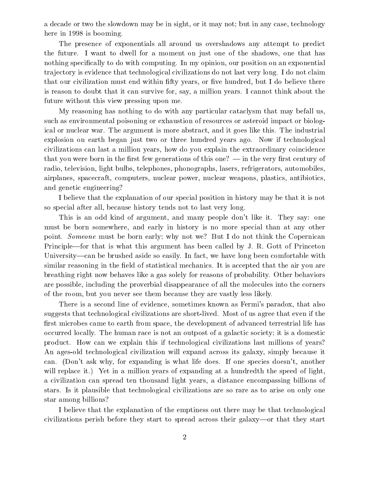a decade or two the slowdown may be in sight, or it may not; but in any case, technology here in 1998 is booming.

The presence of exponentials all around us overshadows any attempt to predict the future. I want to dwell for a moment on just one of the shadows, one that has nothing specifically to do with computing. In my opinion, our position on an exponential tra jectory is evidence that technological civilizations do not last very long. I do not claim that our civilization must end within fifty years, or five hundred, but I do believe there is reason to doubt that it can survive for, say, a million years. I cannot think about the future without this view pressing upon me.

My reasoning has nothing to do with any particular cataclysm that may befall us, such as environmental poisoning or exhaustion of resources or asteroid impact or biological or nuclear war. The argument is more abstract, and it goes like this. The industrial explosion on earth began just two or three hundred years ago. Now if technological civilizations can last a million years, how do you explain the extraordinary coincidence that you were born in the first few generations of this one?  $-$  in the very first century of radio, television, light bulbs, telephones, phonographs, lasers, refrigerators, automobiles, airplanes, spacecraft, computers, nuclear power, nuclear weapons, plastics, antibiotics, and genetic engineering?

I believe that the explanation of our special position in history may be that it is not so special after all, because history tends not to last very long.

This is an odd kind of argument, and many people don't like it. They say: one must be born somewhere, and early in history is no more special than at any other point. Someone must be born early; why not we? But I do not think the Copernican Principle—for that is what this argument has been called by J. R. Gott of Princeton University—can be brushed aside so easily. In fact, we have long been comfortable with similar reasoning in the field of statistical mechanics. It is accepted that the air you are breathing right now behaves like a gas solely for reasons of probability. Other behaviors are possible, including the proverbial disappearance of all the molecules into the corners of the room, but you never see them because they are vastly less likely.

There is a second line of evidence, sometimes known as Fermi's paradox, that also suggests that technological civilizations are short-lived. Most of us agree that even if the first microbes came to earth from space, the development of advanced terrestrial life has occurred locally. The human race is not an outpost of a galactic society; it is a domestic product. How can we explain this if technological civilizations last millions of years? An ages-old technological civilization willexpand across its galaxy, simply because it can. (Don't ask why, for expanding is what life does. If one species doesn't, another will replace it.) Yet in a million years of expanding at a hundredth the speed of light, a civilization can spread ten thousand light years, a distance encompassing billions of stars. Is it plausible that technological civilizations are so rare as to arise on only one star among billions?

I believe that the explanation of the emptiness out there may be that technological civilizations perish before they start to spread across their galaxy—or that they start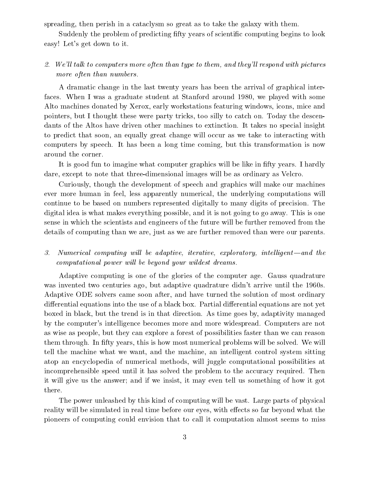spreading, then perish in a cataclysm so great as to take the galaxy with them.

Suddenly the problem of predicting fifty years of scientific computing begins to look easy! Let's get down to it.

# 2. We'll talk to computers more often than type to them, and they'll respond with pictures more often than numbers.

A dramatic change in the last twenty years has been the arrival of graphical interfaces. When I was a graduate student at Stanford around 1980, we played with some Alto machines donated by Xerox, early workstations featuring windows, icons, mice and pointers, but I thought these were party tricks, too silly to catch on. Today the descendants of the Altos have driven other machines to extinction. It takes no special insight to predict that soon, an equally great change will occur as we take to interacting with computers by speech. It has been a long time coming, but this transformation is now around the corner.

It is good fun to imagine what computer graphics will be like in fifty years. I hardly dare, except to note that three-dimensional images will be as ordinary as Velcro.

Curiously, though the development of speech and graphics will make our machines ever more human in feel, less apparently numerical, the underlying computations will continue to be based on numbers represented digitally to many digits of precision. The digital idea is what makes everything possible, and it is not going to go away. This is one sense in which the scientists and engineers of the future will be further removed from the details of computing than we are, just as we are further removed than were our parents.

#### $\mathcal{S}_{\cdot}$  $Numerical computing will be adaptive, iterative, exploratory, intelligent—and the$ computational power will be beyond your wildest dreams.

Adaptive computing is one of the glories of the computer age. Gauss quadrature was invented two centuries ago, but adaptive quadrature didn't arrive until the 1960s. Adaptive ODE solvers came soon after, and have turned the solution of most ordinary differential equations into the use of a black box. Partial differential equations are not yet boxed in black, but the trend is in that direction. As time goes by, adaptivity managed by the computer's intelligence becomes more and more widespread. Computers are not as wise as people, but they can explore a forest of possibilities faster than we can reason them through. In fty years, this is how most numerical problems will be solved. We will tell the machine what we want, and the machine, an intelligent control system sitting atop an encyclopedia of numerical methods, will juggle computational possibilities at incomprehensible speed until it has solved the problem to the accuracy required. Then it will give us the answer; and if we insist, it may even tell us something of how it got there.

The power unleashed by this kind of computing will be vast. Large parts of physical reality will be simulated in real time before our eyes, with effects so far beyond what the pioneers of computing could envision that to call it computation almost seems to miss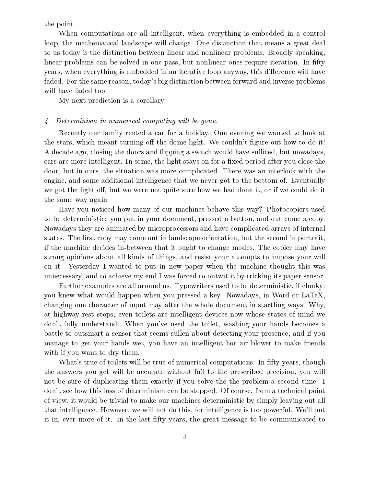the point.

When computations are all intelligent, when everything is embedded in a control loop, the mathematical landscape will change. One distinction that means a great deal to us today is the distinction between linear and nonlinear problems. Broadly speaking, linear problems can be solved in one pass, but nonlinear ones require iteration. In fifty years, when everything is embedded in an iterative loop anyway, this difference will have faded. For the same reason, today's big distinction between forward and inverse problems will have faded too.

My next prediction is a corollary.

#### 4. Determinism in numerical computing will be gone.

Recently our family rented a car for a holiday. One evening we wanted to look at the stars, which meant turning off the dome light. We couldn't figure out how to do it! A decade ago, closing the doors and flipping a switch would have sufficed, but nowadays, cars are more intelligent. In some, the light stays on for a fixed period after you close the door, but in ours, the situation was more complicated. There was an interlock with the engine, and some additional intelligence that we never got to the bottom of. Eventually we got the light off, but we were not quite sure how we had done it, or if we could do it the same way again.

Have you noticed how many of our machines behave this way? Photocopiers used to be deterministic: you put in your document, pressed a button, and out came a copy. Nowadays they are animated by microprocessors and have complicated arrays of internal states. The first copy may come out in landscape orientation, but the second in portrait, if the machine decides in-between that it ought to change modes. The copier may have strong opinions about all kinds of things, and resist your attempts to impose your will on it. Yesterday I wanted to put in new paper when the machine thought this was unnecessary, and to achieve my end I was forced to outwit it by tricking its paper sensor.

Further examples are all around us. Typewriters used to be deterministic, if clunky: you knew what would happen when you pressed a key. Nowadays, in Word or LaTeX, changing one character of input may alter the whole document in startling ways. Why, at highway rest stops, even toilets are intelligent devices now whose states of mind we don't fully understand. When you've used the toilet, washing your hands becomes a battle to outsmart a sensor that seems sullen about detecting your presence, and if you manage to get your hands wet, you have an intelligent hot air blower to make friends with if you want to dry them.

What's true of toilets will be true of numerical computations. In fifty years, though the answers you get will be accurate without fail to the prescribed precision, you will not be sure of duplicating them exactly if you solve the the problem a second time. I don't see how this loss of determinism can be stopped. Of course, from a technical point of view, it would be trivial to make our machines deterministic by simply leaving out all that intelligence. However, we will not do this, for intelligence is too powerful. We'll put it in, ever more of it. In the last fty years, the great message to be communicated to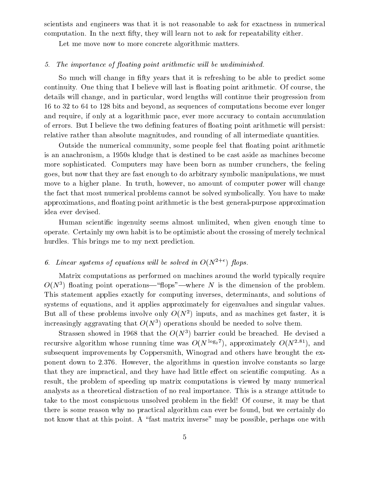scientists and engineers was that it is not reasonable to ask for exactness in numerical computation. In the next fifty, they will learn not to ask for repeatability either.

Let me move now to more concrete algorithmic matters.

#### 5. The importance of floating point arithmetic will be undiminished.

So much will change in fty years that it is refreshing to be able to predict some continuity. One thing that I believe will last is floating point arithmetic. Of course, the details will change, and in particular, word lengths will continue their progression from 16 to 32 to 64 to 128 bits and beyond, as sequences of computations become ever longer and require, if only at a logarithmic pace, ever more accuracy to contain accumulation of errors. But I believe the two defining features of floating point arithmetic will persist: relative rather than absolute magnitudes, and rounding of all intermediate quantities.

Outside the numerical community, some people feel that floating point arithmetic is an anachronism, a 1950s kludge that is destined to be cast aside as machines become more sophisticated. Computers may have been born as number crunchers, the feeling goes, but now that they are fast enough to do arbitrary symbolic manipulations, we must move to a higher plane. In truth, however, no amount of computer power will change the fact that most numerical problems cannot be solved symbolically. You have to make approximations, and floating point arithmetic is the best general-purpose approximation idea ever devised.

Human scientic ingenuity seems almost unlimited, when given enough time to operate. Certainly my own habit is to be optimistic about the crossing of merely technical hurdles. This brings me to my next prediction.

## 6. Linear systems of equations will be solved in  $O(N^{2+\epsilon})$  flops.

Matrix computations as performed on machines around the world typically require  $O(N^*)$  noating point operations—"nops" —where N is the dimension of the problem. This statement applies exactly for computing inverses, determinants, and solutions of systems of equations, and it applies approximately for eigenvalues and singular values. But all of these problems involve only  $O(N^+)$  inputs, and as machines get faster, it is increasingly aggravating that  $O(N^{\ast})$  operations should be needed to solve them.

 $_{\textrm{\scriptsize{DI}}\textrm{\scriptsize{asgen}}}$  showed in 1968 that the  $O(N^{\ast})$  barrier could be breached. He devised a recursive algorithm whose running time was O(N  $^{\sim}$ 27), approximately O(N  $^{\sim}$ 7), and subsequent improvements by Coppersmith, Winograd and others have brought the exponent down to 2.376. However, the algorithms in question involve constants so large that they are impractical, and they have had little effect on scientific computing. As a result, the problem of speeding up matrix computations is viewed by many numerical analysts as a theoretical distraction of no real importance. This is a strange attitude to take to the most conspicuous unsolved problem in the field! Of course, it may be that there is some reason why no practical algorithm can ever be found, but we certainly do not know that at this point. A "fast matrix inverse" may be possible, perhaps one with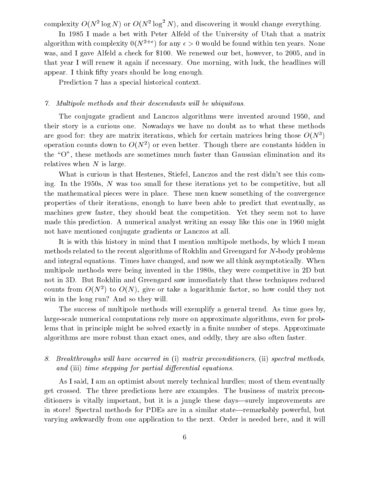complexity  $O(N^2 \log N)$  or  $O(N^2 \log^2 N)$ , and discovering it would change everything.

In 1985 I made a bet with Peter Alfeld of the University of Utah that a matrix algorithm with complexity  $0(N^{2+\epsilon})$  for any  $\epsilon > 0$  would be found within ten years. None was, and I gave Alfeld a check for \$100. We renewed our bet, however, to 2005, and in that year I will renew it again if necessary. One morning, with luck, the headlines will appear. I think fifty years should be long enough.

Prediction 7 has a special historical context. Prediction 7 has a special historical context.

#### 7. Multipole methods and their descendants will be ubiquitous.

The conjugate gradient and Lanczos algorithms were invented around 1950, and their story is a curious one. Nowadays we have no doubt as to what these methods are good for: they are matrix iterations, which for certain matrices bring those  $O(N^*)$ operation counts down to  $O(N^{\ast})$  or even better. Though there are constants midden in the "O", these methods are sometimes much faster than Gaussian elimination and its relatives when  $N$  is large.

What is curious is that Hestenes, Stiefel, Lanczos and the rest didn't see this coming. In the 1950s,  $N$  was too small for these iterations yet to be competitive, but all the mathematical pieces were in place. These men knew something of the convergence properties of their iterations, enough to have been able to predict that eventually, as machines grew faster, they should beat the competition. Yet they seem not to have made this prediction. A numerical analyst writing an essay like this one in 1960 might not have mentioned conjugate gradients or Lanczos at all.

It is with this history in mind that I mention multipole methods, by which I mean methods related to the recent algorithms of Rokhlin and Greengard for N-body problems and integral equations. Times have changed, and now we all think asymptotically. When multipole methods were being invented in the 1980s, they were competitive in 2D but not in 3D. But Rokhlin and Greengard saw immediately that these techniques reduced counts from  $O(N^*)$  to  $O(N)$ , give or take a logarithmic factor, so now could they not win in the long run? And so they will.

The success of multipole methods will exemplify a general trend. As time goes by, large-scale numerical computations rely more on approximate algorithms, even for problems that in principle might be solved exactly in a finite number of steps. Approximate algorithms are more robust than exact ones, and oddly, they are also often faster.

## 8. Breakthroughs wil l have occurred in (i) matrix preconditioners, (ii) spectral methods, and (iii) time stepping for partial differential equations.

As I said, I am an optimist about merely technical hurdles; most of them eventually get crossed. The three predictions here are examples. The business of matrix preconditioners is vitally important, but it is a jungle these days—surely improvements are in store! Spectral methods for PDEs are in a similar state—remarkably powerful, but varying awkwardly from one application to the next. Order is needed here, and it will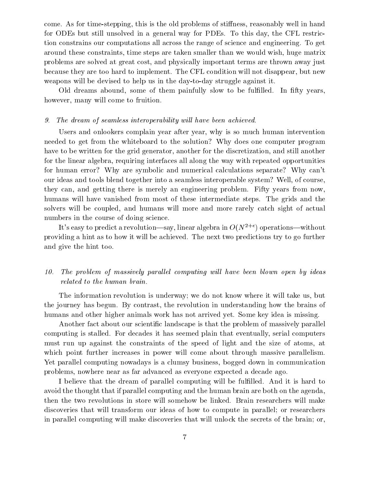come. As for time-stepping, this is the old problems of stiffness, reasonably well in hand for ODEs but still unsolved in a general way for PDEs. To this day, the CFL restriction constrains our computations all across the range of science and engineering. To get around these constraints, time steps are taken smaller than we would wish, huge matrix problems are solved at great cost, and physically important terms are thrown away just because they are too hard to implement. The CFL condition will not disappear, but new weapons will be devised to help us in the day-to-day struggle against it.

Old dreams abound, some of them painfully slow to be fulfilled. In fifty years, however, many will come to fruition.

#### 9. The dream of seamless interoperability will have been achieved.

Users and onlookers complain year after year, why isso much human intervention needed to get from the whiteboard to the solution? Why does one computer program have to be written for the grid generator, another for the discretization, and still another for the linear algebra, requiring interfaces all along the way with repeated opportunities for human error? Why are symbolic and numerical calculations separate? Why can't our ideas and tools blend together into a seamless interoperable system? Well, of course, they can, and getting there is merely an engineering problem. Fifty years from now, humans will have vanished from most of these intermediate steps. The grids and the solvers will be coupled, and humans will more and more rarely catch sight of actual numbers in the course of doing science.

It's easy to predict a revolution—say, linear algebra in  $O(N^{2+\epsilon})$  operations—without providing a hint as to how it will be achieved. The next two predictions try to go further and give the hint too.

#### The problem of massively parallel computing will have been blown open by ideas 10. related to the human brain.

The information revolution is underway; we do not know where it will take us, but the journey has begun. By contrast, the revolution in understanding how the brains of humans and other higher animals work has not arrived yet. Some key idea is missing.

Another fact about our scientic landscape is that the problem of massively parallel computing is stalled. For decades it has seemed plain that eventually, serial computers must run up against the constraints of the speed of light and the size of atoms, at which point further increases in power will come about through massive parallelism. Yet parallel computing nowadays is a clumsy business, bogged down in communication problems, nowhere near as far advanced as everyone expected a decade ago.

I believe that the dream of parallel computing will be fulfilled. And it is hard to avoid the thought that if parallel computing and the human brain are both on the agenda, then the two revolutions in store will somehow be linked. Brain researchers will make discoveries that will transform our ideas of how to compute in parallel; or researchers in parallel computing will make discoveries that will unlock the secrets of the brain; or,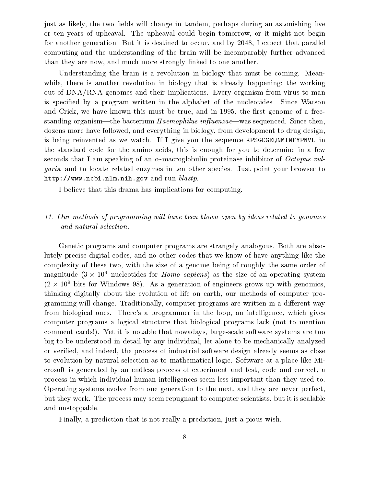just as likely, the two fields will change in tandem, perhaps during an astonishing five or ten years of upheaval. The upheaval could begin tomorrow, or it might not begin for another generation. But it is destined to occur, and by 2048, I expect that parallel computing and the understanding of the brain will be incomparably further advanced than they are now, and much more strongly linked to one another.

Understanding the brain is a revolution in biology that must be coming. Meanwhile, there is another revolution in biology that is already happening: the working out of DNA/RNA genomes and their implications. Every organism from virus to man is specied by a program written in the alphabet of the nucleotides. Since Watson and Crick, we have known this must be true, and in 1995, the first genome of a freestanding organism—the bacterium  $Haemophilus$  influenzae—was sequenced. Since then, dozens more have followed, and everything in biology, from development to drug design, is being reinvented as we watch. If I give you the sequence KPSGCGEQNMINFYPNVL in the standard code for the amino acids, this is enough for you to determine in a few seconds that I am speaking of an  $\alpha$ -macroglobulin proteinase inhibitor of *Octopus vul*garis, and to locate related enzymes in ten other species. Just point your browser to http://www.ncbi.nlm.nih.gov and run blastp.

I believe that this drama has implications for computing.

## 11. Our methods of programming wil l have been blown open by ideas related to genomes and natural selection.

Genetic programs and computer programs are strangely analogous. Both are absolutely precise digital codes, and no other codes that we know of have anything like the complexity of these two, with the size of a genome being of roughly the same order of magnitude (3  $\times$  10° nucleotides for *Homo sapiens*) as the size of an operating system  $(2 \times 10^5)$  bits for Windows 98). As a generation of engineers grows up with genomics, thinking digitally about the evolution of life on earth, our methods of computer programming will change. Traditionally, computer programs are written in a different way from biological ones. There's a programmer in the loop, an intelligence, which gives computer programs a logical structure that biological programs lack (not to mention comment cards!). Yet it is notable that nowadays, large-scale software systems are too big to be understood in detail by any individual, let alone to be mechanically analyzed or veried, and indeed, the process of industrial software design already seems as close to evolution by natural selection asto mathematical logic. Software at a place like Microsoft is generated by an endless process of experiment and test, code and correct, a process in which individual human intelligences seem less important than they used to. Operating systems evolve from one generation to the next, and they are never perfect, but they work. The process may seem repugnant to computer scientists, but it is scalable and unstoppable.

Finally, a prediction that is not really a prediction, just a pious wish.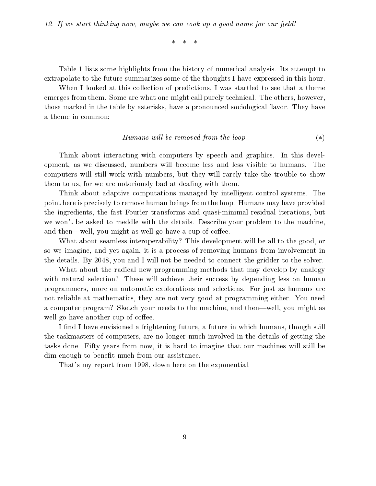$\ast$  $\ast$ 

Table 1 lists some highlights from the history of numerical analysis. Its attempt to extrapolate to the future summarizes some of the thoughts I have expressed in this hour.

When I looked at this collection of predictions, I was startled to see that a theme emerges from them. Some are what one might call purely technical. The others, however, those marked in the table by asterisks, have a pronounced sociological flavor. They have a theme in common:

### Humans will be removed from the loop.  $(*)$

Think about interacting with computers by speech and graphics. In this development, as we discussed, numbers will become less and less visible to humans. The computers will still work with numbers, but they will rarely take the trouble to show them to us, for we are notoriously bad at dealing with them.

Think about adaptive computations managed by intelligent control systems. The point here is precisely to remove human beings from the loop. Humans may have provided the ingredients, the fast Fourier transforms and quasi-minimal residual iterations, but we won't be asked to meddle with the details. Describe your problem to the machine, and then—well, you might as well go have a cup of coffee.

What about seamless interoperability? This development will be all to the good, or so we imagine, and yet again, it is a process of removing humans from involvement in the details. By 2048, you and I will not be needed to connect the gridder to the solver.

What about the radical new programming methods that may develop by analogy with natural selection? These will achieve their success by depending less on human programmers, more on automatic explorations and selections. For just as humans are not reliable at mathematics, they are not very good at programming either. You need a computer program? Sketch your needs to the machine, and then—well, you might as well go have another cup of coffee.

I find I have envisioned a frightening future, a future in which humans, though still the taskmasters of computers, are no longer much involved in the details of getting the tasks done. Fifty years from now, it is hard to imagine that our machines will still be dim enough to benefit much from our assistance.

That's my report from 1998, down here on the exponential.